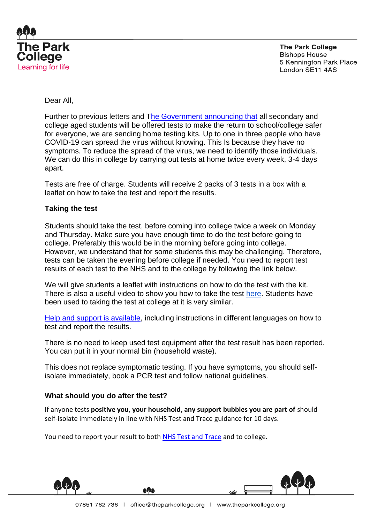

**The Park College Bishops House** 5 Kennington Park Place London SE11 4AS

# Dear All,

Further to previous letters and [The Government announcing that](https://www.gov.uk/guidance/rapid-lateral-flow-testing-for-households-and-bubbles-of-school-pupils-and-staff) all secondary and college aged students will be offered tests to make the return to school/college safer for everyone, we are sending home testing kits. Up to one in three people who have COVID-19 can spread the virus without knowing. This Is because they have no symptoms. To reduce the spread of the virus, we need to identify those individuals. We can do this in college by carrying out tests at home twice every week, 3-4 days apart.

Tests are free of charge. Students will receive 2 packs of 3 tests in a box with a leaflet on how to take the test and report the results.

## **Taking the test**

Students should take the test, before coming into college twice a week on Monday and Thursday. Make sure you have enough time to do the test before going to college. Preferably this would be in the morning before going into college. However, we understand that for some students this may be challenging. Therefore, tests can be taken the evening before college if needed. You need to report test results of each test to the NHS and to the college by following the link below.

We will give students a leaflet with instructions on how to do the test with the kit. There is also a useful video to show you how to take the test [here.](https://www.youtube.com/watch?v=S9XR8RZxKNo&list=PLvaBZskxS7tzQYlVg7lwH5uxAD9UrSzGJ&index=1) Students have been used to taking the test at college at it is very similar.

[Help and support is available,](https://www.gov.uk/guidance/covid-19-self-test-help) including instructions in different languages on how to test and report the results.

There is no need to keep used test equipment after the test result has been reported. You can put it in your normal bin (household waste).

This does not replace symptomatic testing. If you have symptoms, you should selfisolate immediately, book a [PCR test](https://www.gov.uk/get-coronavirus-test%22%20/t%20%22_blank) and follow [national guidelines.](https://www.nhs.uk/conditions/coronavirus-covid-19/symptoms/%22%20/t%20%22_blank)

## **What should you do after the test?**

If anyone tests **positive you, your household, any support bubbles you are part of** should self-isolate immediately in line with NHS Test and Trace guidance for 10 days.

You need to report your result to both [NHS Test and Trace](https://www.gov.uk/report-covid19-result) and to college.